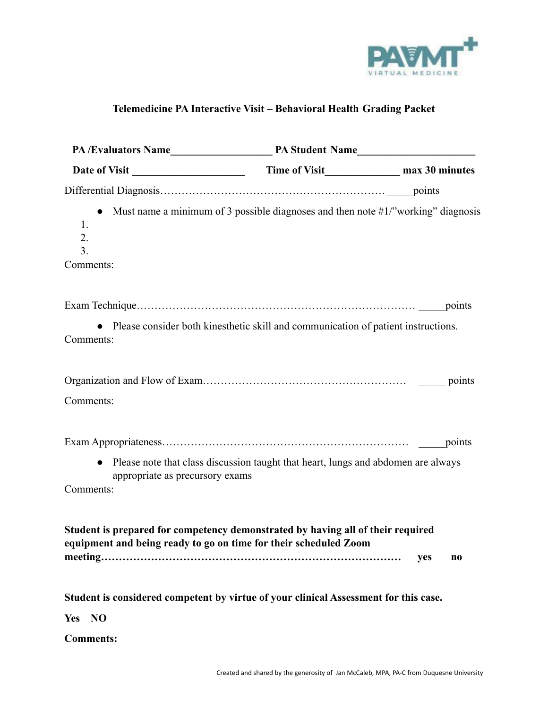

# **Telemedicine PA Interactive Visit – Behavioral Health Grading Packet**

| $\bullet$<br>1.<br>2.<br>3.<br>Comments:                                                                                                            | Must name a minimum of 3 possible diagnoses and then note $#1$ /"working" diagnosis |           |  |
|-----------------------------------------------------------------------------------------------------------------------------------------------------|-------------------------------------------------------------------------------------|-----------|--|
|                                                                                                                                                     |                                                                                     |           |  |
|                                                                                                                                                     |                                                                                     |           |  |
| Comments:                                                                                                                                           | • Please consider both kinesthetic skill and communication of patient instructions. |           |  |
|                                                                                                                                                     |                                                                                     |           |  |
| Comments:                                                                                                                                           |                                                                                     |           |  |
|                                                                                                                                                     |                                                                                     |           |  |
| appropriate as precursory exams<br>Comments:                                                                                                        | • Please note that class discussion taught that heart, lungs and abdomen are always |           |  |
| Student is prepared for competency demonstrated by having all of their required<br>equipment and being ready to go on time for their scheduled Zoom |                                                                                     | yes<br>n0 |  |
| Student is considered competent by virtue of your clinical Assessment for this case.                                                                |                                                                                     |           |  |
| Yes NO                                                                                                                                              |                                                                                     |           |  |

**Comments:**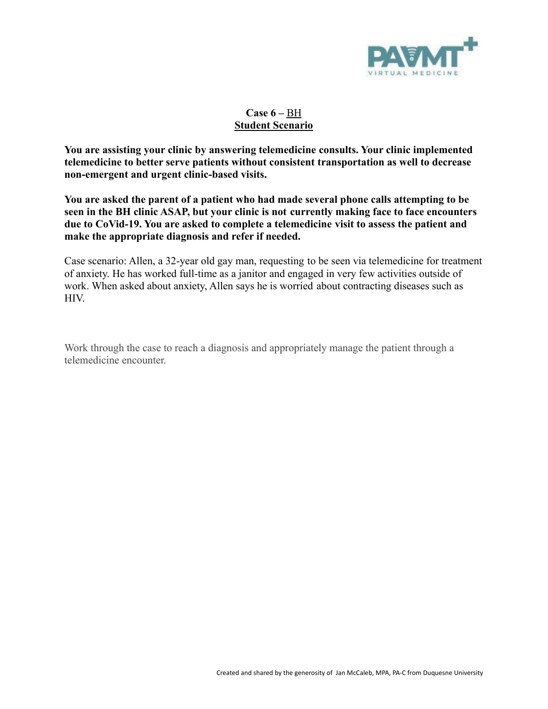

# **Case 6 –** BH **Student Scenario**

**You are assisting your clinic by answering telemedicine consults. Your clinic implemented telemedicine to better serve patients without consistent transportation as well to decrease non-emergent and urgent clinic-based visits.**

**You are asked the parent of a patient who had made several phone calls attempting to be seen in the BH clinic ASAP, but your clinic is not currently making face to face encounters due to CoVid-19. You are asked to complete a telemedicine visit to assess the patient and make the appropriate diagnosis and refer if needed.**

Case scenario: Allen, a 32-year old gay man, requesting to be seen via telemedicine for treatment of anxiety. He has worked full-time as a janitor and engaged in very few activities outside of work. When asked about anxiety, Allen says he is worried about contracting diseases such as HIV.

Work through the case to reach a diagnosis and appropriately manage the patient through a telemedicine encounter.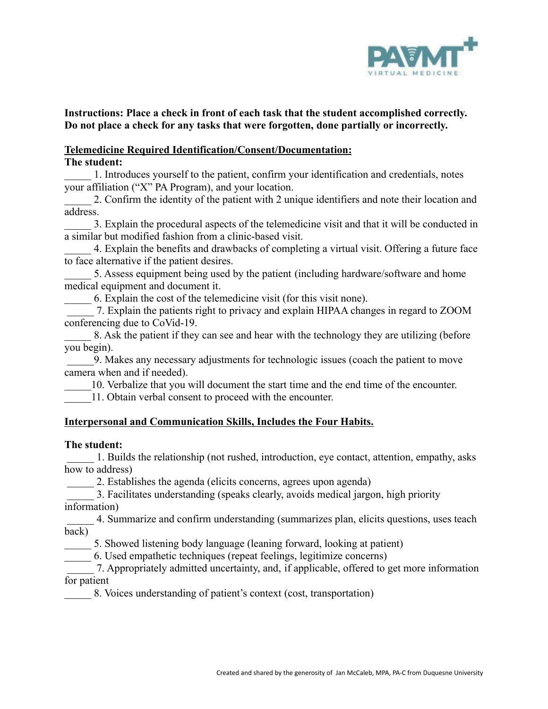

# **Instructions: Place a check in front of each task that the student accomplished correctly. Do not place a check for any tasks that were forgotten, done partially or incorrectly.**

#### **Telemedicine Required Identification/Consent/Documentation: The student:**

\_\_\_\_\_ 1. Introduces yourself to the patient, confirm your identification and credentials, notes your affiliation ("X" PA Program), and your location.

2. Confirm the identity of the patient with 2 unique identifiers and note their location and address.

\_\_\_\_\_ 3. Explain the procedural aspects of the telemedicine visit and that it will be conducted in a similar but modified fashion from a clinic-based visit.

\_\_\_\_\_ 4. Explain the benefits and drawbacks of completing a virtual visit. Offering a future face to face alternative if the patient desires.

5. Assess equipment being used by the patient (including hardware/software and home medical equipment and document it.

\_\_\_\_\_ 6. Explain the cost of the telemedicine visit (for this visit none).

\_\_\_\_\_ 7. Explain the patients right to privacy and explain HIPAA changes in regard to ZOOM conferencing due to CoVid-19.

8. Ask the patient if they can see and hear with the technology they are utilizing (before you begin).

\_\_\_\_\_9. Makes any necessary adjustments for technologic issues (coach the patient to move camera when and if needed).

\_\_\_\_\_10. Verbalize that you will document the start time and the end time of the encounter.

11. Obtain verbal consent to proceed with the encounter.

# **Interpersonal and Communication Skills, Includes the Four Habits.**

### **The student:**

\_\_\_\_\_ 1. Builds the relationship (not rushed, introduction, eye contact, attention, empathy, asks how to address)

2. Establishes the agenda (elicits concerns, agrees upon agenda)

\_\_\_\_\_ 3. Facilitates understanding (speaks clearly, avoids medical jargon, high priority information)

\_\_\_\_\_ 4. Summarize and confirm understanding (summarizes plan, elicits questions, uses teach back)

\_\_\_\_\_ 5. Showed listening body language (leaning forward, looking at patient)

\_\_\_\_\_ 6. Used empathetic techniques (repeat feelings, legitimize concerns)

\_\_\_\_\_ 7. Appropriately admitted uncertainty, and, if applicable, offered to get more information for patient

\_\_\_\_\_ 8. Voices understanding of patient's context (cost, transportation)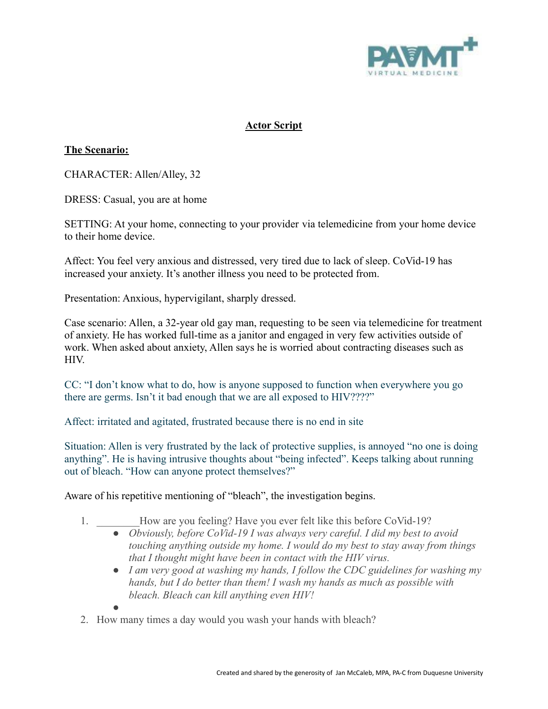

# **Actor Script**

# **The Scenario:**

CHARACTER: Allen/Alley, 32

DRESS: Casual, you are at home

SETTING: At your home, connecting to your provider via telemedicine from your home device to their home device.

Affect: You feel very anxious and distressed, very tired due to lack of sleep. CoVid-19 has increased your anxiety. It's another illness you need to be protected from.

Presentation: Anxious, hypervigilant, sharply dressed.

Case scenario: Allen, a 32-year old gay man, requesting to be seen via telemedicine for treatment of anxiety. He has worked full-time as a janitor and engaged in very few activities outside of work. When asked about anxiety, Allen says he is worried about contracting diseases such as HIV.

CC: "I don't know what to do, how is anyone supposed to function when everywhere you go there are germs. Isn't it bad enough that we are all exposed to HIV????"

Affect: irritated and agitated, frustrated because there is no end in site

Situation: Allen is very frustrated by the lack of protective supplies, is annoyed "no one is doing anything". He is having intrusive thoughts about "being infected". Keeps talking about running out of bleach. "How can anyone protect themselves?"

Aware of his repetitive mentioning of "bleach", the investigation begins.

- 1. How are you feeling? Have you ever felt like this before CoVid-19?
	- *● Obviously, before CoVid-19 I was always very careful. I did my best to avoid touching anything outside my home. I would do my best to stay away from things that I thought might have been in contact with the HIV virus.*
	- *● I am very good at washing my hands, I follow the CDC guidelines for washing my hands, but I do better than them! I wash my hands as much as possible with bleach. Bleach can kill anything even HIV!*
	-

*●*

2. How many times a day would you wash your hands with bleach?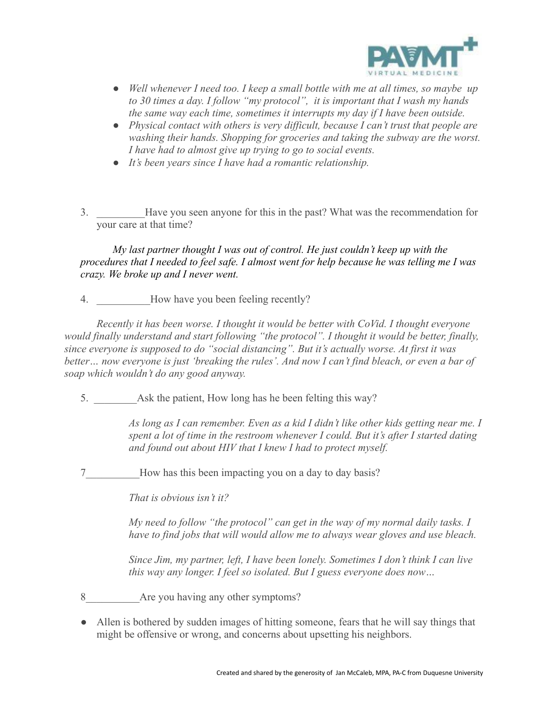

- *● Well whenever I need too. I keep a small bottle with me at all times, so maybe up to 30 times a day. I follow "my protocol", it is important that I wash my hands the same way each time, sometimes it interrupts my day if I have been outside.*
- *● Physical contact with others is very difficult, because I can't trust that people are washing their hands. Shopping for groceries and taking the subway are the worst. I have had to almost give up trying to go to social events.*
- *● It's been years since I have had a romantic relationship.*
- 3. \_\_\_\_\_\_\_\_\_Have you seen anyone for this in the past? What was the recommendation for your care at that time?

*My last partner thought I was out of control. He just couldn't keep up with the procedures that I needed to feel safe. I almost went for help because he was telling me I was crazy. We broke up and I never went.*

4. How have you been feeling recently?

*Recently it has been worse. I thought it would be better with CoVid. I thought everyone would finally understand and start following "the protocol". I thought it would be better, finally, since everyone is supposed to do "social distancing". But it's actually worse. At first it was better… now everyone is just 'breaking the rules'. And now I can't find bleach, or even a bar of soap which wouldn't do any good anyway.*

5. Ask the patient, How long has he been felting this way?

*As long as I can remember. Even as a kid I didn't like other kids getting near me. I spent a lot of time in the restroom whenever I could. But it's after I started dating and found out about HIV that I knew I had to protect myself.*

7 How has this been impacting you on a day to day basis?

*That is obvious isn't it?*

*My need to follow "the protocol" can get in the way of my normal daily tasks. I have to find jobs that will would allow me to always wear gloves and use bleach.*

*Since Jim, my partner, left, I have been lonely. Sometimes I don't think I can live this way any longer. I feel so isolated. But I guess everyone does now…*

- 8 Are you having any other symptoms?
- Allen is bothered by sudden images of hitting someone, fears that he will say things that might be offensive or wrong, and concerns about upsetting his neighbors.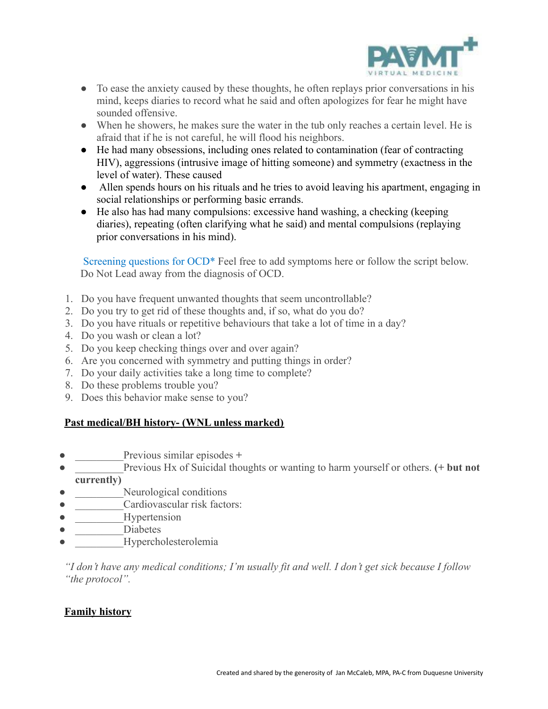

- To ease the anxiety caused by these thoughts, he often replays prior conversations in his mind, keeps diaries to record what he said and often apologizes for fear he might have sounded offensive.
- When he showers, he makes sure the water in the tub only reaches a certain level. He is afraid that if he is not careful, he will flood his neighbors.
- He had many obsessions, including ones related to contamination (fear of contracting HIV), aggressions (intrusive image of hitting someone) and symmetry (exactness in the level of water). These caused
- Allen spends hours on his rituals and he tries to avoid leaving his apartment, engaging in social relationships or performing basic errands.
- He also has had many compulsions: excessive hand washing, a checking (keeping diaries), repeating (often clarifying what he said) and mental compulsions (replaying prior conversations in his mind).

Screening questions for OCD<sup>\*</sup> Feel free to add symptoms here or follow the script below. Do Not Lead away from the diagnosis of OCD.

- 1. Do you have frequent unwanted thoughts that seem uncontrollable?
- 2. Do you try to get rid of these thoughts and, if so, what do you do?
- 3. Do you have rituals or repetitive behaviours that take a lot of time in a day?
- 4. Do you wash or clean a lot?
- 5. Do you keep checking things over and over again?
- 6. Are you concerned with symmetry and putting things in order?
- 7. Do your daily activities take a long time to complete?
- 8. Do these problems trouble you?
- 9. Does this behavior make sense to you?

# **Past medical/BH history- (WNL unless marked)**

- Previous similar episodes +
- Previous Hx of Suicidal thoughts or wanting to harm yourself or others. (+ but not **currently)**
- Neurological conditions
- Cardiovascular risk factors:
- Hypertension
- Diabetes
- Hypercholesterolemia

*"I don't have any medical conditions; I'm usually fit and well. I don't get sick because I follow "the protocol".*

### **Family history**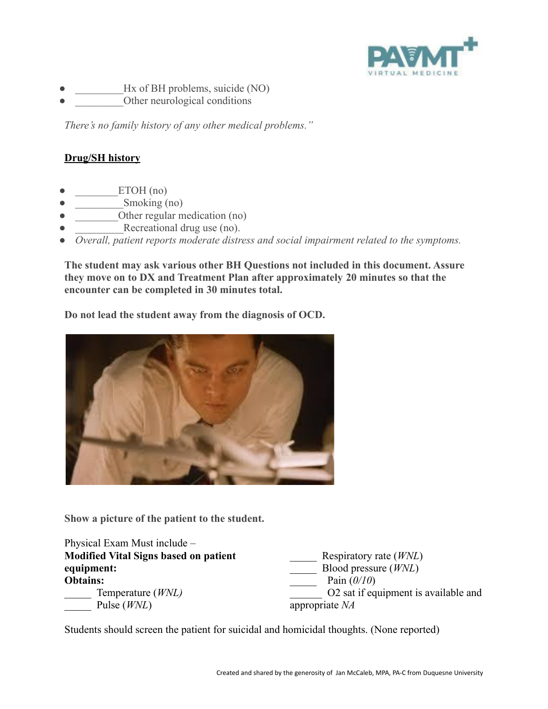

- Hx of BH problems, suicide (NO)
- Other neurological conditions

*There's no family history of any other medical problems."*

# **Drug/SH history**

- $ETOH (no)$
- $Smoking (no)$
- Other regular medication (no)
- Recreational drug use (no).
- *● Overall, patient reports moderate distress and social impairment related to the symptoms.*

**The student may ask various other BH Questions not included in this document. Assure they move on to DX and Treatment Plan after approximately 20 minutes so that the encounter can be completed in 30 minutes total.**

**Do not lead the student away from the diagnosis of OCD.**



**Show a picture of the patient to the student.**

| Physical Exam Must include –                 |                                      |
|----------------------------------------------|--------------------------------------|
| <b>Modified Vital Signs based on patient</b> | Respiratory rate <i>(WNL)</i>        |
| equipment:                                   | Blood pressure $(WNL)$               |
| <b>Obtains:</b>                              | Pain $(0/10)$                        |
| Temperature ( <i>WNL</i> )                   | O2 sat if equipment is available and |
| Pulse $(WNL)$                                | appropriate $NA$                     |

Students should screen the patient for suicidal and homicidal thoughts. (None reported)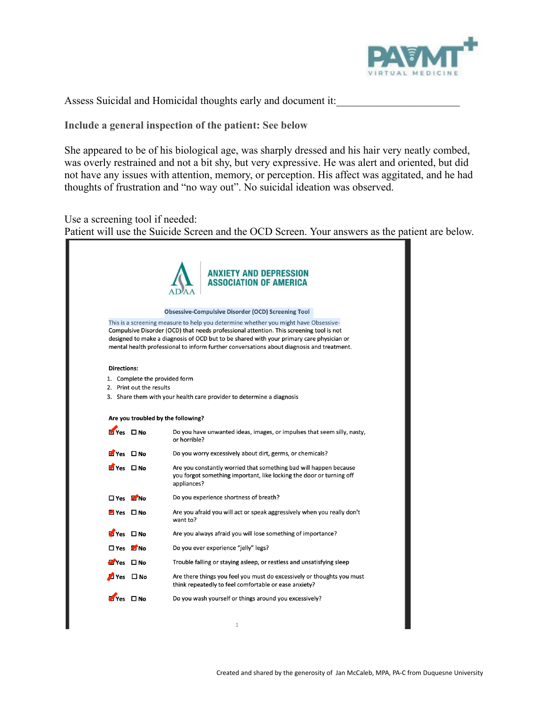

Assess Suicidal and Homicidal thoughts early and document it:

**Include a general inspection of the patient: See below**

She appeared to be of his biological age, was sharply dressed and his hair very neatly combed, was overly restrained and not a bit shy, but very expressive. He was alert and oriented, but did not have any issues with attention, memory, or perception. His affect was aggitated, and he had thoughts of frustration and "no way out". No suicidal ideation was observed.

Use a screening tool if needed:

Patient will use the Suicide Screen and the OCD Screen. Your answers as the patient are below.

|                      |                               | <b>ANXIETY AND DEPRESSION</b><br><b>ASSOCIATION OF AMERICA</b>                                                                                                                                                                                                                                                                                                          |
|----------------------|-------------------------------|-------------------------------------------------------------------------------------------------------------------------------------------------------------------------------------------------------------------------------------------------------------------------------------------------------------------------------------------------------------------------|
|                      |                               | <b>Obsessive-Compulsive Disorder (OCD) Screening Tool</b>                                                                                                                                                                                                                                                                                                               |
|                      |                               | This is a screening measure to help you determine whether you might have Obsessive-<br>Compulsive Disorder (OCD) that needs professional attention. This screening tool is not<br>designed to make a diagnosis of OCD but to be shared with your primary care physician or<br>mental health professional to inform further conversations about diagnosis and treatment. |
| <b>Directions:</b>   |                               |                                                                                                                                                                                                                                                                                                                                                                         |
|                      | 1. Complete the provided form |                                                                                                                                                                                                                                                                                                                                                                         |
|                      | 2. Print out the results      | 3. Share them with your health care provider to determine a diagnosis                                                                                                                                                                                                                                                                                                   |
|                      |                               |                                                                                                                                                                                                                                                                                                                                                                         |
|                      |                               | Are you troubled by the following?                                                                                                                                                                                                                                                                                                                                      |
| $Y$ es $\Box$ No     |                               | Do you have unwanted ideas, images, or impulses that seem silly, nasty,<br>or horrible?                                                                                                                                                                                                                                                                                 |
| Myes □ No            |                               | Do you worry excessively about dirt, germs, or chemicals?                                                                                                                                                                                                                                                                                                               |
|                      |                               |                                                                                                                                                                                                                                                                                                                                                                         |
| $V$ es $\Box$ No     |                               | Are you constantly worried that something bad will happen because<br>you forgot something important, like locking the door or turning off<br>appliances?                                                                                                                                                                                                                |
| $\Box$ Yes $\Box$ No |                               | Do you experience shortness of breath?                                                                                                                                                                                                                                                                                                                                  |
| $Yes$ $\Box$ No      |                               | Are you afraid you will act or speak aggressively when you really don't<br>want to?                                                                                                                                                                                                                                                                                     |
| Myes □ No            |                               | Are you always afraid you will lose something of importance?                                                                                                                                                                                                                                                                                                            |
| $\Box$ Yes $\Box$ No |                               | Do you ever experience "jelly" legs?                                                                                                                                                                                                                                                                                                                                    |
| $Y$ es $\Box$ No     |                               | Trouble falling or staying asleep, or restless and unsatisfying sleep                                                                                                                                                                                                                                                                                                   |
|                      | ⊿ Yes □ No                    | Are there things you feel you must do excessively or thoughts you must<br>think repeatedly to feel comfortable or ease anxiety?                                                                                                                                                                                                                                         |

П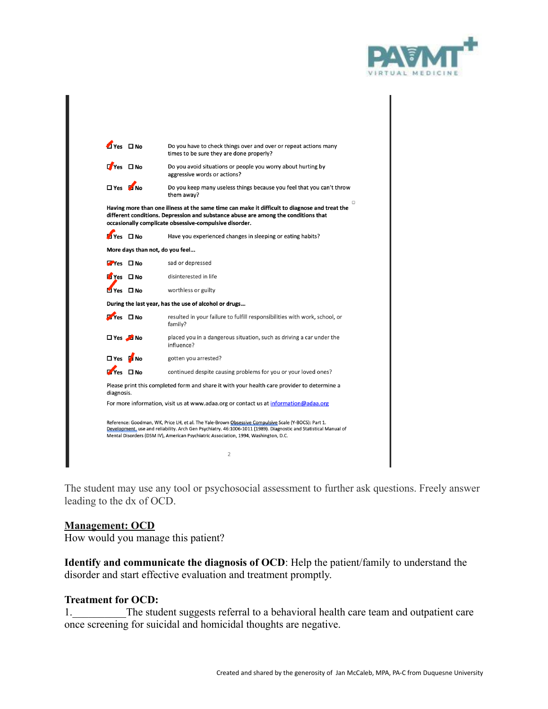

| $T$ Yes $T$ No.                 |                                 | Do you have to check things over and over or repeat actions many<br>times to be sure they are done properly?                                                                                                                                       |
|---------------------------------|---------------------------------|----------------------------------------------------------------------------------------------------------------------------------------------------------------------------------------------------------------------------------------------------|
| L <mark>Yes □ No</mark>         |                                 | Do you avoid situations or people you worry about hurting by<br>aggressive words or actions?                                                                                                                                                       |
| □ Yes M No                      |                                 | Do you keep many useless things because you feel that you can't throw<br>them away?                                                                                                                                                                |
|                                 |                                 | o<br>Having more than one illness at the same time can make it difficult to diagnose and treat the<br>different conditions. Depression and substance abuse are among the conditions that<br>occasionally complicate obsessive-compulsive disorder. |
| $V_{PS}$ $\Box$ No.             |                                 | Have you experienced changes in sleeping or eating habits?                                                                                                                                                                                         |
|                                 | More days than not, do you feel |                                                                                                                                                                                                                                                    |
| $\blacksquare$ Yes $\square$ No |                                 | sad or depressed                                                                                                                                                                                                                                   |
| Myes □ No                       |                                 | disinterested in life                                                                                                                                                                                                                              |
| Myes □ No                       |                                 | worthless or guilty                                                                                                                                                                                                                                |
|                                 |                                 | During the last year, has the use of alcohol or drugs                                                                                                                                                                                              |
| $Y$ es $\square$ No             |                                 | resulted in your failure to fulfill responsibilities with work, school, or<br>family?                                                                                                                                                              |
| □ Yes <b>A</b> No               |                                 | placed you in a dangerous situation, such as driving a car under the<br>influence?                                                                                                                                                                 |
| □ Yes M No                      |                                 | gotten you arrested?                                                                                                                                                                                                                               |
| $T$ Yes $T$ No                  |                                 | continued despite causing problems for you or your loved ones?                                                                                                                                                                                     |
|                                 |                                 | Please print this completed form and share it with your health care provider to determine a                                                                                                                                                        |
| diagnosis.                      |                                 | For more information, visit us at www.adaa.org or contact us at information@adaa.org                                                                                                                                                               |
|                                 |                                 |                                                                                                                                                                                                                                                    |
|                                 |                                 | Reference: Goodman, WK, Price LH, et al. The Yale-Brown Obsessive Compulsive Scale (Y-BOCS): Part 1.                                                                                                                                               |
|                                 |                                 | Development, use and reliability. Arch Gen Psychiatry. 46:1006-1011 (1989). Diagnostic and Statistical Manual of<br>Mental Disorders (DSM IV), American Psychiatric Association, 1994, Washington, D.C.                                            |
|                                 |                                 | 2                                                                                                                                                                                                                                                  |

The student may use any tool or psychosocial assessment to further ask questions. Freely answer leading to the dx of OCD.

#### **Management: OCD**

How would you manage this patient?

**Identify and communicate the diagnosis of OCD**: Help the patient/family to understand the disorder and start effective evaluation and treatment promptly.

#### **Treatment for OCD:**

1. The student suggests referral to a behavioral health care team and outpatient care once screening for suicidal and homicidal thoughts are negative.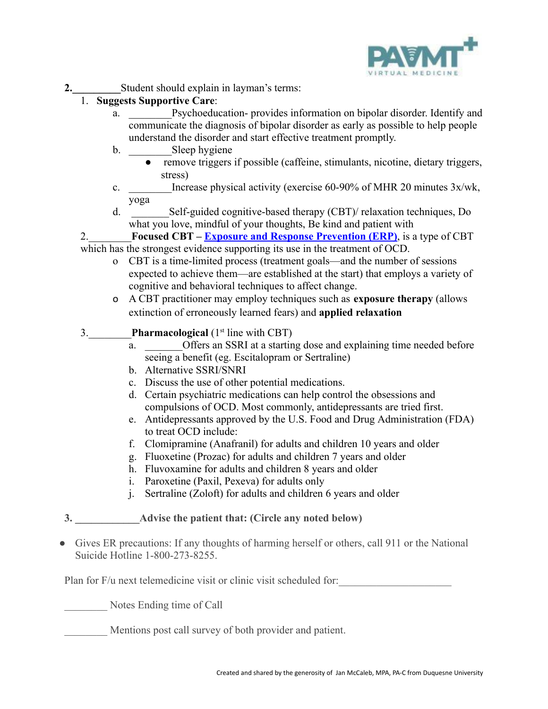

**2.\_\_\_\_\_\_\_\_\_**Student should explain in layman's terms:

# 1. **Suggests Supportive Care**:

- a. Psychoeducation- provides information on bipolar disorder. Identify and communicate the diagnosis of bipolar disorder as early as possible to help people understand the disorder and start effective treatment promptly.
- b. Sleep hygiene
	- remove triggers if possible (caffeine, stimulants, nicotine, dietary triggers, stress)
- c. Increase physical activity (exercise  $60-90\%$  of MHR 20 minutes  $3x/wk$ , yoga
- d. \_\_\_\_\_\_\_Self-guided cognitive-based therapy (CBT)/ relaxation techniques, Do what you love, mindful of your thoughts, Be kind and patient with

2.\_\_\_\_\_\_\_\_**Focused CBT – [Exposure and Response Prevention](https://iocdf.org/about-ocd/treatment/erp/) (ERP)**, is a type of CBT which has the strongest evidence supporting its use in the treatment of OCD.

- o CBT is a time-limited process (treatment goals—and the number of sessions expected to achieve them—are established at the start) that employs a variety of cognitive and behavioral techniques to affect change.
- o A CBT practitioner may employ techniques such as **exposure therapy** (allows extinction of erroneously learned fears) and **applied relaxation**

# 3.\_\_\_\_\_\_\_\_**Pharmacological** (1st line with CBT)

- a. **Offers an SSRI at a starting dose and explaining time needed before** seeing a benefit (eg. Escitalopram or Sertraline)
- b. Alternative SSRI/SNRI
- c. Discuss the use of other potential medications.
- d. Certain psychiatric medications can help control the obsessions and compulsions of OCD. Most commonly, antidepressants are tried first.
- e. Antidepressants approved by the U.S. Food and Drug Administration (FDA) to treat OCD include:
- f. Clomipramine (Anafranil) for adults and children 10 years and older
- g. Fluoxetine (Prozac) for adults and children 7 years and older
- h. Fluvoxamine for adults and children 8 years and older
- i. Paroxetine (Paxil, Pexeva) for adults only
- j. Sertraline (Zoloft) for adults and children 6 years and older
- **3. \_\_\_\_\_\_\_\_\_\_\_\_Advise the patient that: (Circle any noted below)**
- Gives ER precautions: If any thoughts of harming herself or others, call 911 or the National Suicide Hotline 1-800-273-8255.

Plan for F/u next telemedicine visit or clinic visit scheduled for:

Notes Ending time of Call

Mentions post call survey of both provider and patient.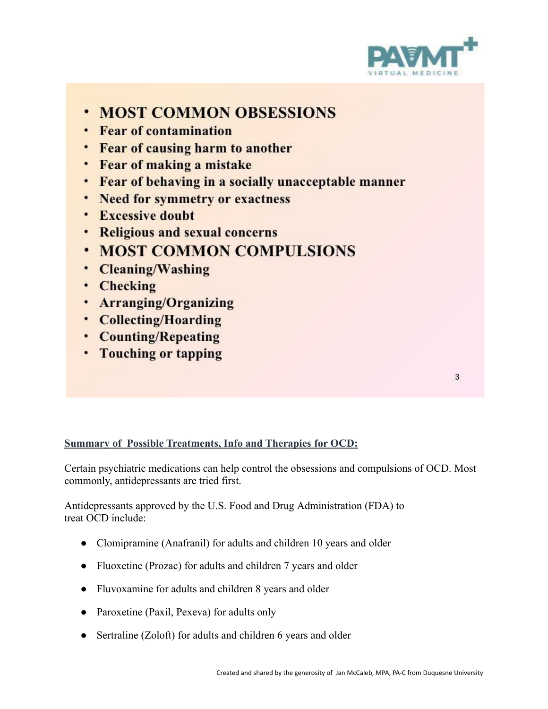

- **· MOST COMMON OBSESSIONS**
- Fear of contamination
- Fear of causing harm to another
- Fear of making a mistake
- Fear of behaving in a socially unacceptable manner
- Need for symmetry or exactness
- Excessive doubt
- Religious and sexual concerns
- **MOST COMMON COMPULSIONS**
- Cleaning/Washing
- Checking
- Arranging/Organizing
- Collecting/Hoarding
- Counting/Repeating
- Touching or tapping

3

# **Summary of Possible Treatments, Info and Therapies for OCD:**

Certain psychiatric medications can help control the obsessions and compulsions of OCD. Most commonly, antidepressants are tried first.

Antidepressants approved by the U.S. Food and Drug Administration (FDA) to treat OCD include:

- Clomipramine (Anafranil) for adults and children 10 years and older
- Fluoxetine (Prozac) for adults and children 7 years and older
- Fluvoxamine for adults and children 8 years and older
- Paroxetine (Paxil, Pexeva) for adults only
- Sertraline (Zoloft) for adults and children 6 years and older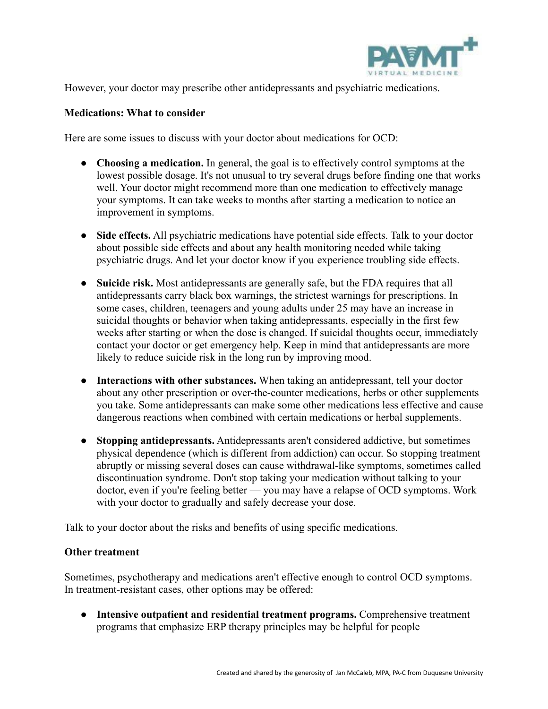

However, your doctor may prescribe other antidepressants and psychiatric medications.

## **Medications: What to consider**

Here are some issues to discuss with your doctor about medications for OCD:

- **Choosing a medication.** In general, the goal is to effectively control symptoms at the lowest possible dosage. It's not unusual to try several drugs before finding one that works well. Your doctor might recommend more than one medication to effectively manage your symptoms. It can take weeks to months after starting a medication to notice an improvement in symptoms.
- Side effects. All psychiatric medications have potential side effects. Talk to your doctor about possible side effects and about any health monitoring needed while taking psychiatric drugs. And let your doctor know if you experience troubling side effects.
- **Suicide risk.** Most antidepressants are generally safe, but the FDA requires that all antidepressants carry black box warnings, the strictest warnings for prescriptions. In some cases, children, teenagers and young adults under 25 may have an increase in suicidal thoughts or behavior when taking antidepressants, especially in the first few weeks after starting or when the dose is changed. If suicidal thoughts occur, immediately contact your doctor or get emergency help. Keep in mind that antidepressants are more likely to reduce suicide risk in the long run by improving mood.
- **Interactions with other substances.** When taking an antidepressant, tell your doctor about any other prescription or over-the-counter medications, herbs or other supplements you take. Some antidepressants can make some other medications less effective and cause dangerous reactions when combined with certain medications or herbal supplements.
- **Stopping antidepressants.** Antidepressants aren't considered addictive, but sometimes physical dependence (which is different from addiction) can occur. So stopping treatment abruptly or missing several doses can cause withdrawal-like symptoms, sometimes called discontinuation syndrome. Don't stop taking your medication without talking to your doctor, even if you're feeling better — you may have a relapse of OCD symptoms. Work with your doctor to gradually and safely decrease your dose.

Talk to your doctor about the risks and benefits of using specific medications.

### **Other treatment**

Sometimes, psychotherapy and medications aren't effective enough to control OCD symptoms. In treatment-resistant cases, other options may be offered:

● **Intensive outpatient and residential treatment programs.** Comprehensive treatment programs that emphasize ERP therapy principles may be helpful for people